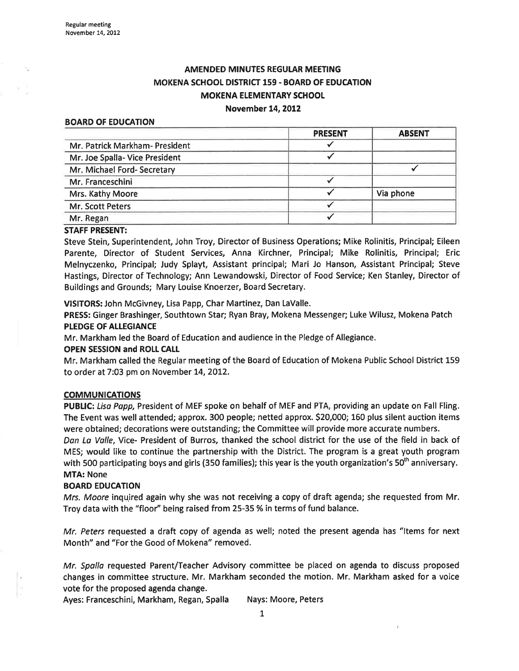# AMENDED MINUTES REGULAR MEETING MOKENA SCHOOL DISTRICT 159. BOARD OF EDUCATION MOKENA ELEMENTARY SCHOOL

# November t4,2012

#### BOARD OF EDUCATION

|                                | <b>PRESENT</b> | <b>ABSENT</b> |
|--------------------------------|----------------|---------------|
| Mr. Patrick Markham- President |                |               |
| Mr. Joe Spalla- Vice President |                |               |
| Mr. Michael Ford- Secretary    |                |               |
| Mr. Franceschini               |                |               |
| Mrs. Kathy Moore               |                | Via phone     |
| Mr. Scott Peters               |                |               |
| Mr. Regan                      |                |               |

#### STAFF PRESENT:

Steve Stein, Superintendent, John Troy, Director of Business Operations; Mike Rolinitis, Principal; Eileen Parente, Director of Student Seruices, Anna Kirchner, Principal; Mike Rolinitis, Principal; Eric Melnyczenko, Principal; Judy Splayt, Assistant principal; Mari Jo Hanson, Assistant Principal; Steve Hastings, Director of Technology; Ann Lewandowski, Director of Food Service; Ken Stanley, Director of Buildings and Grounds; Mary Louise Knoerzer, Board Secretary.

VISITORS: John McGivney, Lisa Papp, Char Martinez, Dan LaValle.

PRESS: Ginger Brashinger, Southtown Star; Ryan Bray, Mokena Messenger; Luke Wilusz, Mokena Patch PLEDGE OF ALLEGIANCE

Mr. Markham led the Board of Education and audience in the Pledge of Allegiance.

#### OPEN SESSION and ROLL CALL

Mr. Markham called the Regular meeting of the Board of Education of Mokena Public School District 159 to order at 7:03 pm on November 14, 2012.

#### **COMMUNICATIONS**

PUBLIC: Lisa Papp, President of MEF spoke on behalf of MEF and PTA, providing an update on Fall Fling. The Event was well attended; approx. 300 people; netted approx. 520,000; 160 plus silent auction items were obtained; decorations were outstanding; the Committee will provide more accurate numbers.

Dan La Valle, Yice- President of Burros, thanked the school district for the use of the field in back of MES; would like to continue the partnership with the District. The program is a great youth program with 500 participating boys and girls (350 families); this year is the youth organization's 50<sup>th</sup> anniversary. MTA: None

#### **BOARD EDUCATION**

Mrs. Moore inquired again why she was not receiving a copy of draft agenda; she requested from Mr. Troy data with the "floor" being raised from 25-35 % in terms of fund balance.

Mr. Peters requested a draft copy of agenda as well; noted the present agenda has "Items for next Month" and "For the Good of Mokena" removed.

Mr. Spalla requested Parent/Teacher Advisory committee be placed on agenda to discuss proposed changes in committee structure. Mr. Markham seconded the motion. Mr. Markham asked for a voice vote for the proposed agenda change.

Ayes: Franceschini, Markham, Regan, Spalla Nays: Moore, Peters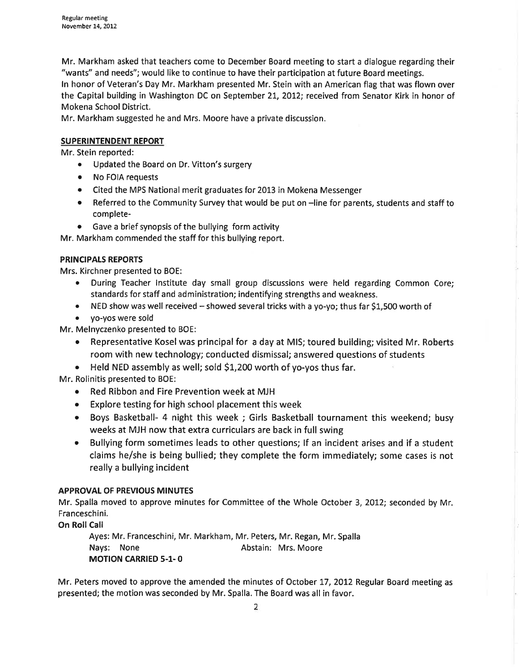Mr. Markham asked that teachers come to December Board meeting to start a dialogue regarding their "wants" and needs"; would like to continue to have their participation at future Board meetings. ln honor of Veteran's Day Mr. Markham presented Mr. Stein with an American flag that was flown over the Capital building in Washington DC on September 21, 2012; received from Senator Kirk in honor of Mokena School District.

Mr. Markham suggested he and Mrs. Moore have a private discussion.

# SUPERINTENDENT REPORT

Mr. Stein reported:

- . Updated the Board on Dr. Vitton's surgery
- o No FOIA requests
- o Cited the MPS National merit graduates for 2013 in Mokena Messenger
- o Referred to the Community Survey that would be put on -line for parents, students and staff to complete-
- o Gave a brief synopsis of the bullying form activity

Mr. Markham commended the staff for this bullying report.

## PRINCIPALS REPORTS

Mrs. Kirchner presented to BOE:

- During Teacher Institute day small group discussions were held regarding Common Core; standards for staff and administration; indentifying strengths and weakness.
- NED show was well received showed several tricks with a yo-yo; thus far \$1,500 worth of
- . yo-yos were sold

Mr. Melnyczenko presented to BOE:

- o Representative Koselwas principalfor a day at MIS; toured building; visited Mr. Roberts room with new technology; conducted dismissal; answered questions of students
- $\bullet$  Held NED assembly as well; sold \$1,200 worth of yo-yos thus far.

Mr. Rolinitis presented to BOE:

- o Red Ribbon and Fire Prevention week at MJH
- Explore testing for high school placement this week
- o Boys Basketball- 4 night this week ; Girls Basketball tournament this weekend; busy weeks at MJH now that extra curriculars are back ín full swing
- Bullying form sometimes leads to other questions; If an incident arises and if a student claims he/she is being bullied; they complete the form immediately; some cases is not really a bullying incident

## **APPROVAL OF PREVIOUS MINUTES**

Mr. Spalla moved to approve minutes for Committee of the Whole October 3, 2012; seconded by Mr. Franceschini.

**On Roll Call** 

Ayes: Mr. Franceschini, Mr. Markham, Mr. Peters, Mr. Regan, Mr. Spalla Nays: None **Abstain: Mrs. Moore** MOTION CARRIED 5-1- <sup>O</sup>

Mr. Peters moved to approve the amended the minutes of October 17, 2012 Regular Board meeting as presented; the motion was seconded by Mr. Spalla. The Board was all in favor.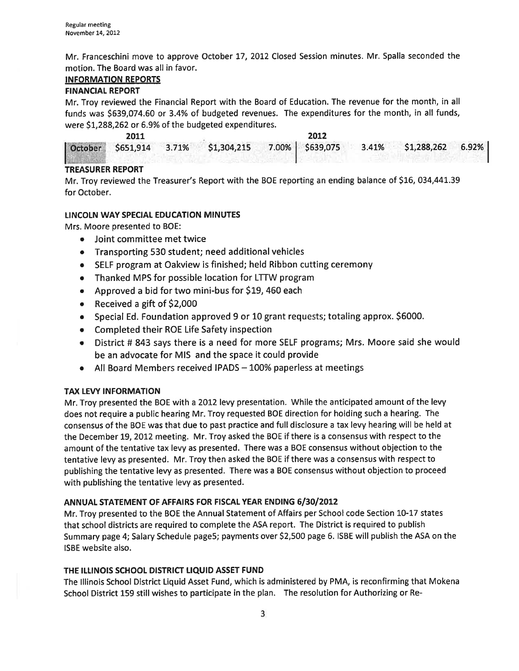Mr. Franceschini move to approve October 17, 2012 Closed Session minutes. Mr. Spalla seconded the motion. The Board was all in favor.

## INFORMATION REPORTS

# FINANCIAL REPORT

Mr. Troy reviewed the Financial Report with the Board of Education. The revenue for the month, in all funds was 5639,074.60 or 3.4% of budgeted revenues. The expenditures for the month, in all funds, were \$1,288,262 or 6.9% of the budgeted expenditures.

|  |  | 2012 |                                                                             |  |
|--|--|------|-----------------------------------------------------------------------------|--|
|  |  |      | October \$651,914 3.71% \$1,304,215 7.00% \$639,075 3.41% \$1,288,262 6.92% |  |
|  |  |      |                                                                             |  |

# TREASURER REPORT

Mr. Troy reviewed the Treasurer's Report with the BOE reporting an ending balance of 516, 034,441.39 for October.

# LINCOLN WAY SPECIAL EDUCATION MINUTES

Mrs. Moore presented to BOE:

- o Joint committee met twice
- Transporting 530 student; need additional vehicles
- o SELF program at Oakview is finished; held Ribbon cutting ceremony
- Thanked MPS for possible location for LTTW program
- . Approved a bid for two mini-bus for S19, 460 each
- $\bullet$  Received a gift of \$2,000
- o Special Ed. Foundation approved 9 or 10 grant requests; totaling approx. 56000.
- o Completed their RoE Life Safety inspection
- o District # 843 says there is a need for more SELF programs; Mrs. Moore said she would be an advocate for MIS and the space it could provide
- $\bullet$  All Board Members received IPADS 100% paperless at meetings

# TAX LEVY INFORMATION

Mr. Troy presented the BOE with a 2012 levy presentation. While the anticipated amount of the levy does not require a public hearing Mr. Troy requested BOE direction for holding such a hearing. The consensus of the BOE was that due to past practice and full disclosure a tax levy hearing will be held at the December 19, 2012 meeting. Mr. Troy asked the BOE if there is a consensus with respect to the amount of the tentative tax levy as presented. There was a BOE consensus without objection to the tentative levy as presented. Mr. Troy then asked the BOE if there was a consensus with respect to publishing the tentative levy as presented. There was a BOE consensus without objection to proceed with publishing the tentative levy as presented.

# ANNUAL STATEMENT OF AFFAIRS FOR FISCAL YEAR ENDING 6/30/2012

Mr. Troy presented to the BOE the Annual Statement of Affairs per School code Section IO-17 states that school districts are required to complete the ASA report. The District is required to publish Summary page 4; Salary Schedule pageS; payments over 52,500 page 6. ISBE will publish the ASA on the ISBE website also.

## THE ILLINOIS SCHOOL DISTRICT LIQUID ASSET FUND

The lllinois School District Liquid Asset Fund, which is administered by PMA, is reconfirming that Mokena School District 159 still wishes to participate in the plan. The resolution for Authorizing or Re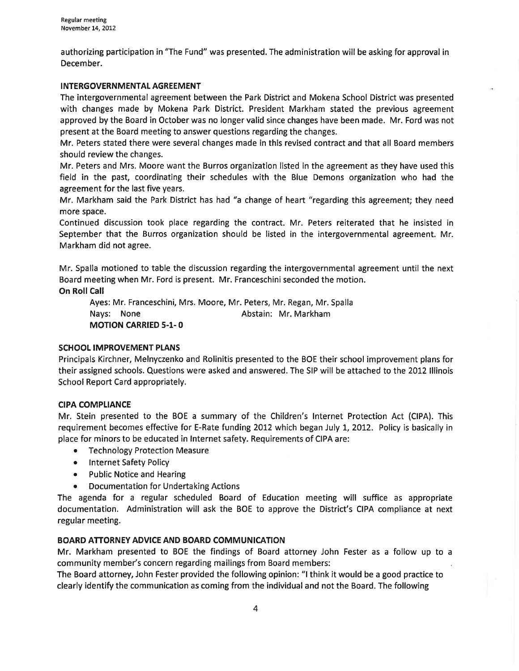authorizing participation in "The Fund" was presented. The administration will be asking for approval in December.

### <sup>I</sup>NTERGOVERNMENTAL AGREEMENT

The intergovernmental agreement between the Park District and Mokena School District was presented with changes made by Mokena Park District. President Markham stated the previous agreement approved by the Board in October was no longer valid since changes have been made. Mr. Ford was not present at the Board meeting to answer questions regardíng the changes.

Mr. Peters stated there were several changes made in this revised contract and that all Board members should review the changes.

Mr. Peters and Mrs. Moore want the Burros organization listed in the agreement as they have used this field in the past, coordinating their schedules with the Blue Demons organization who had the agreement for the last five years.

Mr. Markham said the Park District has had "a change of heart "regarding this agreement; they need more space.

Continued discussion took place regarding the contract. Mr. Peters reiterated that he insisted in September that the Burros organization should be listed in the intergovernmental agreement. Mr. Markham did not agree.

Mr. Spalla motioned to table the discussion regarding the intergovernmental agreement until the next Board meeting when Mr. Ford is present. Mr. Franceschini seconded the motion.

**On Roll Call** 

Ayes: Mr. Franceschini, Mrs. Moore, Mr. Peters, Mr. Regan, Mr. Spalla Nays: None **Abstain: Mr. Markham** MOTION CARRIED 5-1- <sup>O</sup>

# SCHOOL IMPROVEMENT PLANS

Principals Kirchner, Melnyczenko and Rolinitis presented to the BOE their school improvement plans for their assigned schools. Questions were asked and answered. The SIP will be attached to the 2012 lllinois School Report Card appropriately.

## CIPA COMPLIANCE

Mr. Stein presented to the BOE a summary of the Children's lnternet Protection Act (CIPA). This requirement becomes effective for E-Rate funding 2012 which began July 1, 2012. Policy is basically in place for minors to be educated in lnternet safety. Requirements of CIPA are:

- Technology Protection Measure
- Internet Safety Policy
- Public Notice and Hearing
- ¡ Documentation for Undertaking Actions

The agenda for a regular scheduled Board of Education meeting will suffice as appropriate documentation. Administration will ask the BOE to approve the District's CIPA compliance at next regular meeting.

## BOARD ATTORNEY ADVICE AND BOARD COMMUNICATION

Mr. Markham presented to BOE the findings of Board attorney John Fester as a follow up to <sup>a</sup> community member's concern regarding mailings from Board members:

The Board attorney, John Fester provided the following opinion: "l think it would be a good practice to clearly identify the communication as coming from the individual and not the Board. The following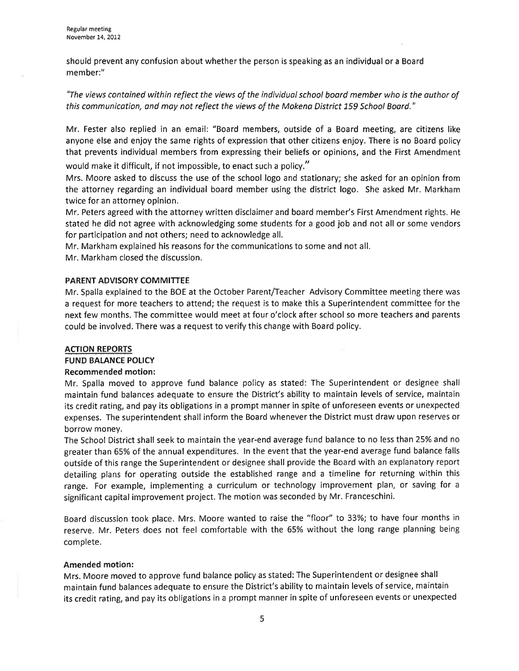should prevent any confusion about whether the person is speaking as an individual or a Board member:"

"The views contained within reflect the views of the individual school board member who is the author of this communication, and may not reflect the views of the Mokena District 159 School Board."

Mr. Fester also replied in an email: "Board members, outside of a Board meeting, are citizens like anyone else and enjoy the same rights of expression that other citizens enjoy. There is no Board policy that prevents individual members from expressing their beliefs or opinions, and the First Amendment

would make it difficult, if not impossible, to enact such a policy."

Mrs. Moore asked to discuss the use of the school logo and stationary; she asked for an opinion from the attorney regarding an individual board member using the district logo. She asked Mr. Markham twice for an attorney opinion.

Mr. Peters agreed with the attorney written disclaimer and board member's First Amendment rights. He stated he did not agree with acknowledging some students for a good job and not all or some vendors for participation and not others; need to acknowledge all.

Mr. Markham explained his reasons for the communications to some and not all.

Mr. Markham closed the discussion.

#### PARENT ADVISORY COMMITTEE

Mr. Spalla explained to the BOE at the October Parent/Teacher Advisory Commíttee meeting there was a request for more teachers to attend; the request is to make this a Superintendent committee for the next few months. The committee would meet at four o'clock after school so more teachers and parents could be involved. There was a request to verify this change with Board policy.

### ACTION REPORTS

FUND BALANCE POLICY

### Recommended motion:

Mr. Spalla moved to approve fund balance policy as stated: The Superintendent or designee shall maintain fund balances adequate to ensure the District's ability to maintain levels of service, maintain its credit rating, and pay its obligations in a prompt manner in spite of unforeseen events or unexpected expenses. The superintendent shall inform the Board whenever the District must draw upon reserves or borrow money.

The School District shall seek to maintain the year-end average fund balance to no less than 25%and no greater than 65% of the annual expenditures. ln the event that the year-end average fund balance falls outside of this range the Superintendent or designee shall provide the Board with an explanatory report detailing plans for operating outside the established range and a timeline for returning within this range, For example, implementing a curriculum or technology improvement plan, or saving for <sup>a</sup> significant capital improvement project. The motion was seconded by Mr. Franceschini.

Board discussion took place. Mrs. Moore wanted to raise the "floor" to 33%; to have four months in reserve. Mr. Peters does not feel comfortable with the 65% without the long range planning being complete.

#### Amended motion:

Mrs. Moore moved to approve fund balance policy as stated: The Superintendent or designee shall maintain fund balances adequate to ensure the District's ability to maintain levels of service, maintain its credit rating, and pay its obligations in a prompt manner in spite of unforeseen events or unexpected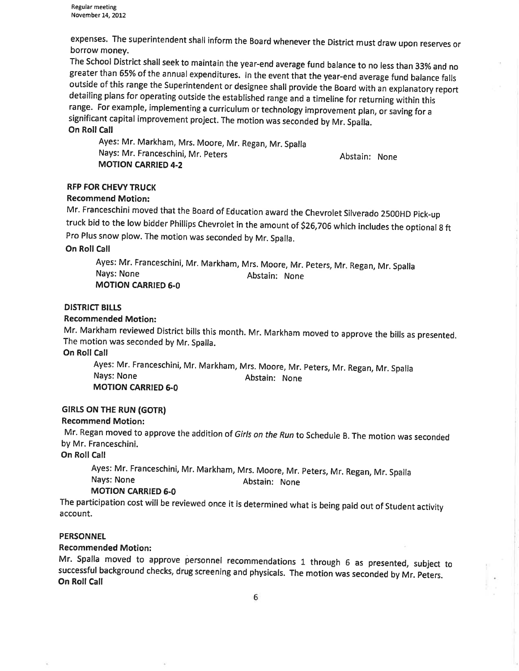Regular meeting November 14, 2012

expenses. The superintendent shall inform the Board whenever the District must draw upon reserves or borrow money.<br>The School District shall seek to maintain the year-end average fund balance to no less than 33% and no

greater than 65% of the annual expenditures. In the event that the year-end average fund balance falls outside of this range the superintendent or designee shall provide the Board with an explanatory report detailing plans for operating outside the established range and a timeline for returning within this range. For example, implementing a curriculum or technology improvement plan, or saving for <sup>a</sup> significant capital improvement project. The motion was seconded by Mr. spalla. On Roll Call

Ayes: Mr. Markham, Mrs. Moore, Mr. Regan, Mr. Spalla Nays: Mr. Franceschini, Mr. peters MOTION CARRIED 4.2

Abstain: None

### RFP FOR CHEVY TRUCK

#### Recommend Motion:

Mr. Franceschíni moved that the Board of Education award the Chevrolet Silverado 25ooHD pick-up truck bid to the low bidder Phillips Chevrolet in the amount of 526,706 which includes the optional g ft Pro Plus snow plow. The motion was seconded by Mr. Spalla.

On Roll Call

Ayes: Mr. Franceschini, Mr. Markham, Mrs. Moore, Mr. Peters, Mr. Regan, Mr. Spalla Nays: None **MOTION CARRIED 6-0** Abstain: None

### **DISTRICT BILLS**

#### Recommended Motion:

Mr. Markham reviewed District bills this month. Mr. Markham moved to approve the bills as presented. The motion was seconded by Mr. Spalla.

On Roll Call

Ayes: Mr. Franceschini, Mr. Markham, Mrs. Moore, Mr. peters, Mr. Regan, Mr. Spalla Nays: None **MOTION CARRIED 6-0** Abstain: None

### **GIRLS ON THE RUN (GOTR)**

#### Recommend Motion:

Mr. Regan moved to approve the addition of Girls on the Run to Schedule B. The motion was seconded by Mr. Franceschini.

On Roll Call

Ayes: Mr. Franceschini, Mr. Markham, Mrs. Moore, Mr. peters, Mr. Regan, Mr. spalla Nays: None **Abstain:** Nays: None

# MOTION CARRIED 6.0

The participation cost will be reviewed once it is determined what is being paid out of Student activity account.

#### PERSONNEL

### Recommended Motion:

Mr. Spalla moved to approve personnel recommendations 1 through 6 as presented, subject to successful background checks, drug screening and physicals. The motion was seconded by Mr. peters. On Roll Call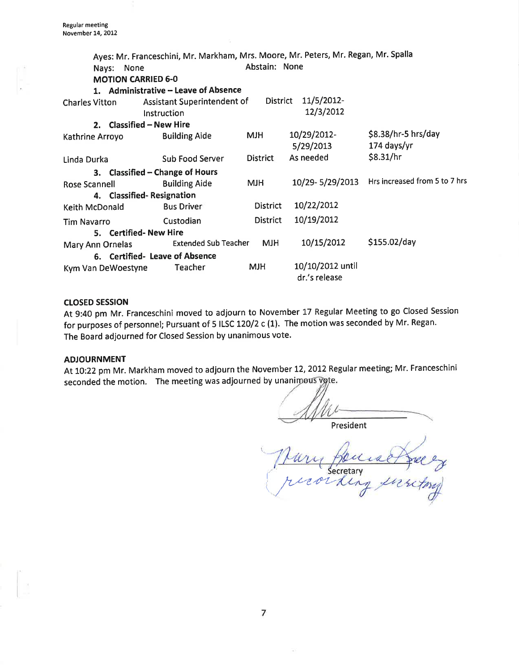|                                | Ayes: Mr. Franceschini, Mr. Markham, Mrs. Moore, Mr. Peters, Mr. Regan, Mr. Spalla |                 |                                   |                                               |  |  |  |
|--------------------------------|------------------------------------------------------------------------------------|-----------------|-----------------------------------|-----------------------------------------------|--|--|--|
| None<br>Nays:                  |                                                                                    | Abstain: None   |                                   |                                               |  |  |  |
| <b>MOTION CARRIED 6-0</b>      |                                                                                    |                 |                                   |                                               |  |  |  |
|                                | 1. Administrative - Leave of Absence                                               |                 |                                   |                                               |  |  |  |
| <b>Charles Vitton</b>          | Assistant Superintendent of                                                        | District        | 11/5/2012-                        |                                               |  |  |  |
|                                | Instruction                                                                        |                 | 12/3/2012                         |                                               |  |  |  |
| 2. Classified - New Hire       |                                                                                    |                 |                                   |                                               |  |  |  |
| Kathrine Arroyo                | <b>Building Aide</b>                                                               | <b>HLM</b>      | 10/29/2012-                       | $$8.38/hr-5 hrs/day$                          |  |  |  |
|                                |                                                                                    |                 | 5/29/2013                         | 174 days/yr                                   |  |  |  |
| Linda Durka                    | Sub Food Server                                                                    | <b>District</b> | As needed                         | \$8.31/hr                                     |  |  |  |
|                                | 3. Classified - Change of Hours                                                    |                 |                                   |                                               |  |  |  |
| Rose Scannell                  | <b>Building Aide</b>                                                               | <b>MJH</b>      |                                   | 10/29-5/29/2013 Hrs increased from 5 to 7 hrs |  |  |  |
| 4. Classified-Resignation      |                                                                                    |                 |                                   |                                               |  |  |  |
| Keith McDonald                 | <b>Bus Driver</b>                                                                  | District        | 10/22/2012                        |                                               |  |  |  |
| <b>Tim Navarro</b>             | Custodian                                                                          | <b>District</b> | 10/19/2012                        |                                               |  |  |  |
| 5. Certified-New Hire          |                                                                                    |                 |                                   |                                               |  |  |  |
| Mary Ann Ornelas               | <b>Extended Sub Teacher</b>                                                        | <b>MJH</b>      | 10/15/2012                        | \$155.02/day                                  |  |  |  |
| 6. Certified- Leave of Absence |                                                                                    |                 |                                   |                                               |  |  |  |
| Kym Van DeWoestyne             | Teacher                                                                            | MJH.            | 10/10/2012 until<br>dr.'s release |                                               |  |  |  |

#### ctosED sEssloN

At 9:40 pm Mr. Franceschini moved to adjourn to November L7 Regular Meeting to go Closed Session for purposes of personnel; Pursuant of 5 ILSC L20/2 c (1). The motion was seconded by Mr. Regan. The Board adjourned for Closed Session by unanimous vote.

### ADJOURNMENT

At 10:22 pm Mr. Markham moved to adjourn the November 12, 2012 Regular meeting; Mr. Franceschini seconded the motion. The meeting was adjourned by unanimous vote.

President

 $22$ torof Secretary  $\mu$  $vert_{t}$